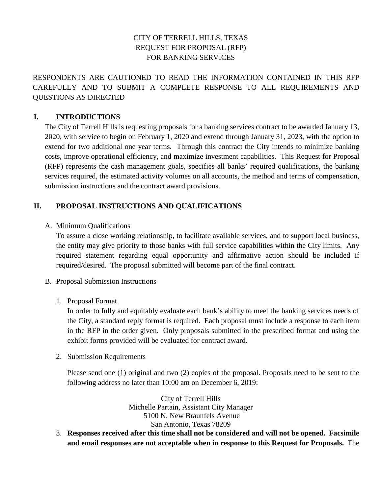# CITY OF TERRELL HILLS, TEXAS REQUEST FOR PROPOSAL (RFP) FOR BANKING SERVICES

RESPONDENTS ARE CAUTIONED TO READ THE INFORMATION CONTAINED IN THIS RFP CAREFULLY AND TO SUBMIT A COMPLETE RESPONSE TO ALL REQUIREMENTS AND QUESTIONS AS DIRECTED

# **I. INTRODUCTIONS**

The City of Terrell Hills is requesting proposals for a banking services contract to be awarded January 13, 2020, with service to begin on February 1, 2020 and extend through January 31, 2023, with the option to extend for two additional one year terms. Through this contract the City intends to minimize banking costs, improve operational efficiency, and maximize investment capabilities. This Request for Proposal (RFP) represents the cash management goals, specifies all banks' required qualifications, the banking services required, the estimated activity volumes on all accounts, the method and terms of compensation, submission instructions and the contract award provisions.

# **II. PROPOSAL INSTRUCTIONS AND QUALIFICATIONS**

A. Minimum Qualifications

To assure a close working relationship, to facilitate available services, and to support local business, the entity may give priority to those banks with full service capabilities within the City limits. Any required statement regarding equal opportunity and affirmative action should be included if required/desired. The proposal submitted will become part of the final contract.

- B. Proposal Submission Instructions
	- 1. Proposal Format

In order to fully and equitably evaluate each bank's ability to meet the banking services needs of the City, a standard reply format is required. Each proposal must include a response to each item in the RFP in the order given. Only proposals submitted in the prescribed format and using the exhibit forms provided will be evaluated for contract award.

2. Submission Requirements

Please send one (1) original and two (2) copies of the proposal. Proposals need to be sent to the following address no later than 10:00 am on December 6, 2019:

> City of Terrell Hills Michelle Partain, Assistant City Manager 5100 N. New Braunfels Avenue San Antonio, Texas 78209

3. **Responses received after this time shall not be considered and will not be opened. Facsimile and email responses are not acceptable when in response to this Request for Proposals.** The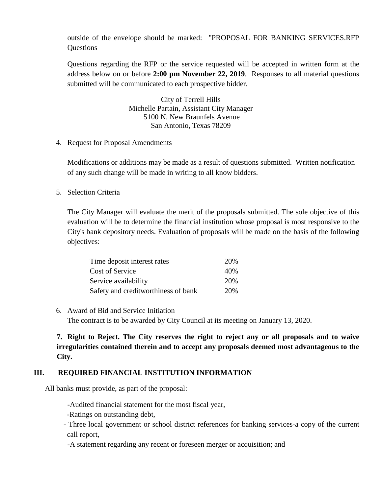outside of the envelope should be marked: "PROPOSAL FOR BANKING SERVICES.RFP Questions

Questions regarding the RFP or the service requested will be accepted in written form at the address below on or before **2:00 pm November 22, 2019**. Responses to all material questions submitted will be communicated to each prospective bidder.

> City of Terrell Hills Michelle Partain, Assistant City Manager 5100 N. New Braunfels Avenue San Antonio, Texas 78209

4. Request for Proposal Amendments

Modifications or additions may be made as a result of questions submitted. Written notification of any such change will be made in writing to all know bidders.

5. Selection Criteria

The City Manager will evaluate the merit of the proposals submitted. The sole objective of this evaluation will be to determine the financial institution whose proposal is most responsive to the City's bank depository needs. Evaluation of proposals will be made on the basis of the following objectives:

| Time deposit interest rates         | 20% |
|-------------------------------------|-----|
| <b>Cost of Service</b>              | 40% |
| Service availability                | 20% |
| Safety and creditworthiness of bank | 20% |

6. Award of Bid and Service Initiation

The contract is to be awarded by City Council at its meeting on January 13, 2020.

**7. Right to Reject. The City reserves the right to reject any or all proposals and to waive irregularities contained therein and to accept any proposals deemed most advantageous to the City.**

# **III. REQUIRED FINANCIAL INSTITUTION INFORMATION**

All banks must provide, as part of the proposal:

-Audited financial statement for the most fiscal year,

- -Ratings on outstanding debt,
- Three local government or school district references for banking services-a copy of the current call report,
- -A statement regarding any recent or foreseen merger or acquisition; and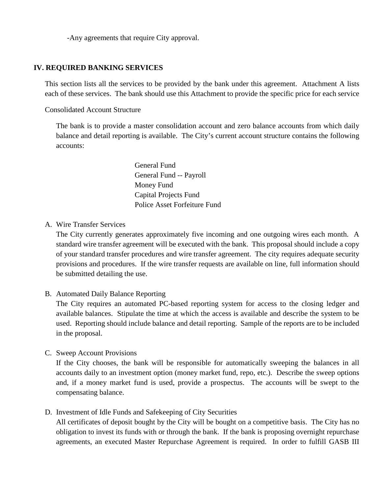-Any agreements that require City approval.

## **IV. REQUIRED BANKING SERVICES**

This section lists all the services to be provided by the bank under this agreement. Attachment A lists each of these services. The bank should use this Attachment to provide the specific price for each service

Consolidated Account Structure

The bank is to provide a master consolidation account and zero balance accounts from which daily balance and detail reporting is available. The City's current account structure contains the following accounts:

> General Fund General Fund -- Payroll Money Fund Capital Projects Fund Police Asset Forfeiture Fund

A. Wire Transfer Services

The City currently generates approximately five incoming and one outgoing wires each month. A standard wire transfer agreement will be executed with the bank. This proposal should include a copy of your standard transfer procedures and wire transfer agreement. The city requires adequate security provisions and procedures. If the wire transfer requests are available on line, full information should be submitted detailing the use.

B. Automated Daily Balance Reporting

The City requires an automated PC-based reporting system for access to the closing ledger and available balances. Stipulate the time at which the access is available and describe the system to be used. Reporting should include balance and detail reporting. Sample of the reports are to be included in the proposal.

C. Sweep Account Provisions

If the City chooses, the bank will be responsible for automatically sweeping the balances in all accounts daily to an investment option (money market fund, repo, etc.). Describe the sweep options and, if a money market fund is used, provide a prospectus. The accounts will be swept to the compensating balance.

D. Investment of Idle Funds and Safekeeping of City Securities

All certificates of deposit bought by the City will be bought on a competitive basis. The City has no obligation to invest its funds with or through the bank. If the bank is proposing overnight repurchase agreements, an executed Master Repurchase Agreement is required. In order to fulfill GASB III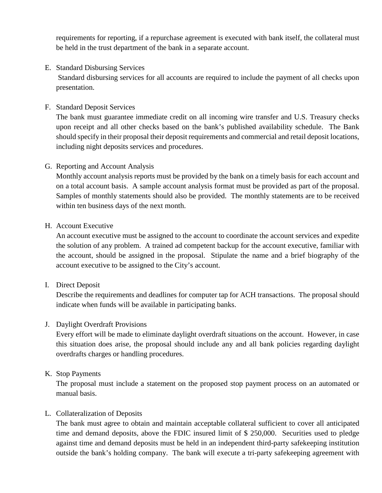requirements for reporting, if a repurchase agreement is executed with bank itself, the collateral must be held in the trust department of the bank in a separate account.

E. Standard Disbursing Services

Standard disbursing services for all accounts are required to include the payment of all checks upon presentation.

F. Standard Deposit Services

The bank must guarantee immediate credit on all incoming wire transfer and U.S. Treasury checks upon receipt and all other checks based on the bank's published availability schedule. The Bank should specify in their proposal their deposit requirements and commercial and retail deposit locations, including night deposits services and procedures.

### G. Reporting and Account Analysis

Monthly account analysis reports must be provided by the bank on a timely basis for each account and on a total account basis. A sample account analysis format must be provided as part of the proposal. Samples of monthly statements should also be provided. The monthly statements are to be received within ten business days of the next month.

### H. Account Executive

An account executive must be assigned to the account to coordinate the account services and expedite the solution of any problem. A trained ad competent backup for the account executive, familiar with the account, should be assigned in the proposal. Stipulate the name and a brief biography of the account executive to be assigned to the City's account.

#### I. Direct Deposit

Describe the requirements and deadlines for computer tap for ACH transactions. The proposal should indicate when funds will be available in participating banks.

# J. Daylight Overdraft Provisions

Every effort will be made to eliminate daylight overdraft situations on the account. However, in case this situation does arise, the proposal should include any and all bank policies regarding daylight overdrafts charges or handling procedures.

#### K. Stop Payments

The proposal must include a statement on the proposed stop payment process on an automated or manual basis.

#### L. Collateralization of Deposits

The bank must agree to obtain and maintain acceptable collateral sufficient to cover all anticipated time and demand deposits, above the FDIC insured limit of \$ 250,000. Securities used to pledge against time and demand deposits must be held in an independent third-party safekeeping institution outside the bank's holding company. The bank will execute a tri-party safekeeping agreement with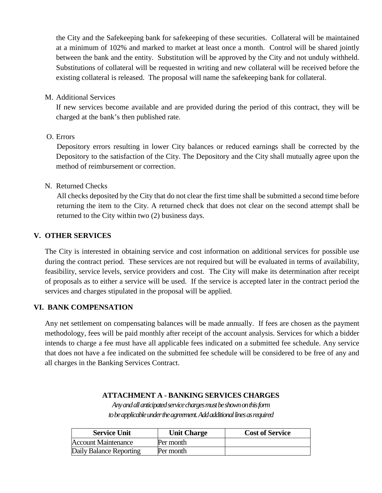the City and the Safekeeping bank for safekeeping of these securities. Collateral will be maintained at a minimum of 102% and marked to market at least once a month. Control will be shared jointly between the bank and the entity. Substitution will be approved by the City and not unduly withheld. Substitutions of collateral will be requested in writing and new collateral will be received before the existing collateral is released. The proposal will name the safekeeping bank for collateral.

M. Additional Services

If new services become available and are provided during the period of this contract, they will be charged at the bank's then published rate.

### O. Errors

Depository errors resulting in lower City balances or reduced earnings shall be corrected by the Depository to the satisfaction of the City. The Depository and the City shall mutually agree upon the method of reimbursement or correction.

### N. Returned Checks

All checks deposited by the City that do not clear the first time shall be submitted a second time before returning the item to the City. A returned check that does not clear on the second attempt shall be returned to the City within two (2) business days.

### **V. OTHER SERVICES**

The City is interested in obtaining service and cost information on additional services for possible use during the contract period. These services are not required but will be evaluated in terms of availability, feasibility, service levels, service providers and cost. The City will make its determination after receipt of proposals as to either a service will be used. If the service is accepted later in the contract period the services and charges stipulated in the proposal will be applied.

#### **VI. BANK COMPENSATION**

Any net settlement on compensating balances will be made annually. If fees are chosen as the payment methodology, fees will be paid monthly after receipt of the account analysis. Services for which a bidder intends to charge a fee must have all applicable fees indicated on a submitted fee schedule. Any service that does not have a fee indicated on the submitted fee schedule will be considered to be free of any and all charges in the Banking Services Contract.

# **ATTACHMENT A - BANKING SERVICES CHARGES**

*Any and all anticipated service charges must be shown on this form to be applicable under the agreement. Add additional lines as required*

| <b>Service Unit</b>        | <b>Unit Charge</b> | <b>Cost of Service</b> |
|----------------------------|--------------------|------------------------|
| <b>Account Maintenance</b> | Per month          |                        |
| Daily Balance Reporting    | Per month          |                        |